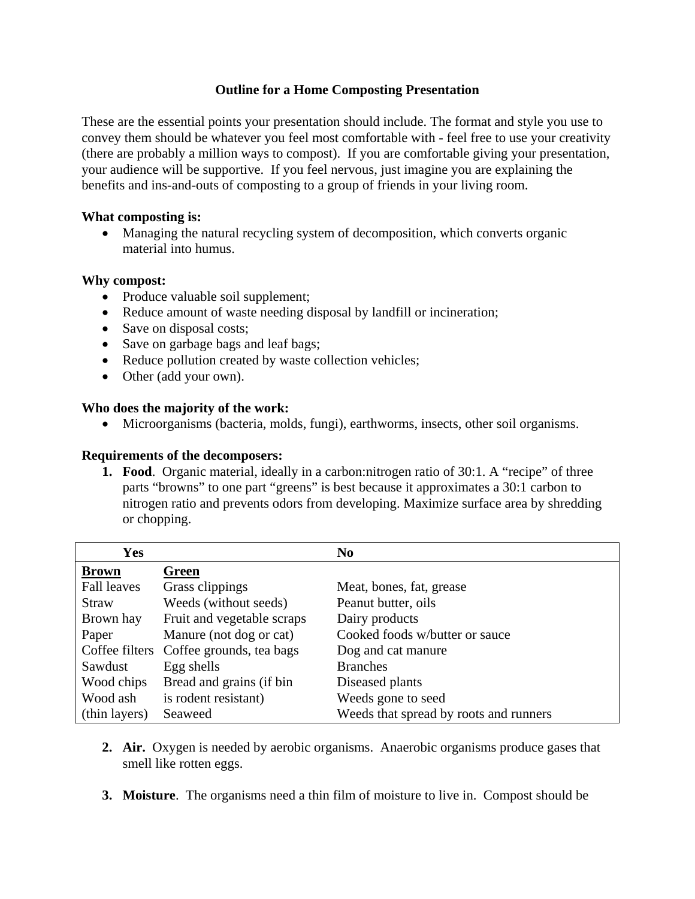## **Outline for a Home Composting Presentation**

These are the essential points your presentation should include. The format and style you use to convey them should be whatever you feel most comfortable with - feel free to use your creativity (there are probably a million ways to compost). If you are comfortable giving your presentation, your audience will be supportive. If you feel nervous, just imagine you are explaining the benefits and ins-and-outs of composting to a group of friends in your living room.

### **What composting is:**

• Managing the natural recycling system of decomposition, which converts organic material into humus.

### **Why compost:**

- Produce valuable soil supplement;
- Reduce amount of waste needing disposal by landfill or incineration;
- Save on disposal costs;
- Save on garbage bags and leaf bags;
- Reduce pollution created by waste collection vehicles;
- Other (add your own).

### **Who does the majority of the work:**

• Microorganisms (bacteria, molds, fungi), earthworms, insects, other soil organisms.

### **Requirements of the decomposers:**

**1. Food**. Organic material, ideally in a carbon:nitrogen ratio of 30:1. A "recipe" of three parts "browns" to one part "greens" is best because it approximates a 30:1 carbon to nitrogen ratio and prevents odors from developing. Maximize surface area by shredding or chopping.

| Yes                |                                         | N <sub>0</sub>                         |
|--------------------|-----------------------------------------|----------------------------------------|
| <b>Brown</b>       | Green                                   |                                        |
| <b>Fall leaves</b> | Grass clippings                         | Meat, bones, fat, grease               |
| Straw              | Weeds (without seeds)                   | Peanut butter, oils                    |
| Brown hay          | Fruit and vegetable scraps              | Dairy products                         |
| Paper              | Manure (not dog or cat)                 | Cooked foods w/butter or sauce         |
|                    | Coffee filters Coffee grounds, tea bags | Dog and cat manure                     |
| Sawdust            | Egg shells                              | <b>Branches</b>                        |
| Wood chips         | Bread and grains (if bin                | Diseased plants                        |
| Wood ash           | is rodent resistant)                    | Weeds gone to seed                     |
| (thin layers)      | Seaweed                                 | Weeds that spread by roots and runners |

- **2. Air.** Oxygen is needed by aerobic organisms. Anaerobic organisms produce gases that smell like rotten eggs.
- **3. Moisture**. The organisms need a thin film of moisture to live in. Compost should be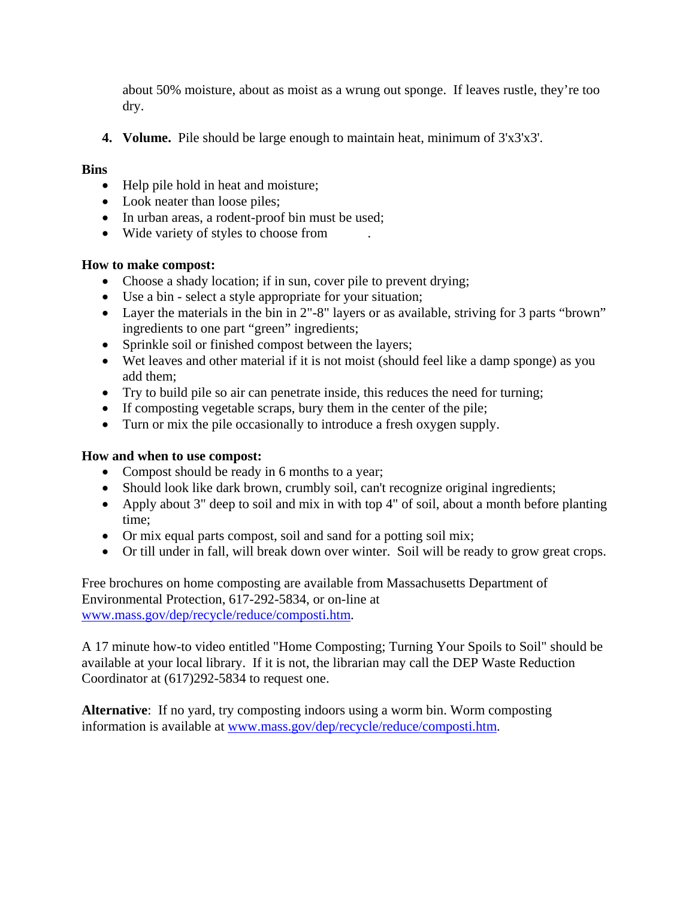about 50% moisture, about as moist as a wrung out sponge. If leaves rustle, they're too dry.

**4. Volume.** Pile should be large enough to maintain heat, minimum of 3'x3'x3'.

## **Bins**

- Help pile hold in heat and moisture;
- Look neater than loose piles;
- In urban areas, a rodent-proof bin must be used;
- Wide variety of styles to choose from

# **How to make compost:**

- Choose a shady location; if in sun, cover pile to prevent drying;
- Use a bin select a style appropriate for your situation;
- Layer the materials in the bin in 2"-8" layers or as available, striving for 3 parts "brown" ingredients to one part "green" ingredients;
- Sprinkle soil or finished compost between the layers;
- Wet leaves and other material if it is not moist (should feel like a damp sponge) as you add them;
- Try to build pile so air can penetrate inside, this reduces the need for turning;
- If composting vegetable scraps, bury them in the center of the pile;
- Turn or mix the pile occasionally to introduce a fresh oxygen supply.

# **How and when to use compost:**

- Compost should be ready in 6 months to a year;
- Should look like dark brown, crumbly soil, can't recognize original ingredients;
- Apply about 3" deep to soil and mix in with top 4" of soil, about a month before planting time;
- Or mix equal parts compost, soil and sand for a potting soil mix;
- Or till under in fall, will break down over winter. Soil will be ready to grow great crops.

Free brochures on home composting are available from Massachusetts Department of Environmental Protection, 617-292-5834, or on-line at www.mass.gov/dep/recycle/reduce/composti.htm.

A 17 minute how-to video entitled "Home Composting; Turning Your Spoils to Soil" should be available at your local library. If it is not, the librarian may call the DEP Waste Reduction Coordinator at (617)292-5834 to request one.

**Alternative**: If no yard, try composting indoors using a worm bin. Worm composting information is available at www.mass.gov/dep/recycle/reduce/composti.htm.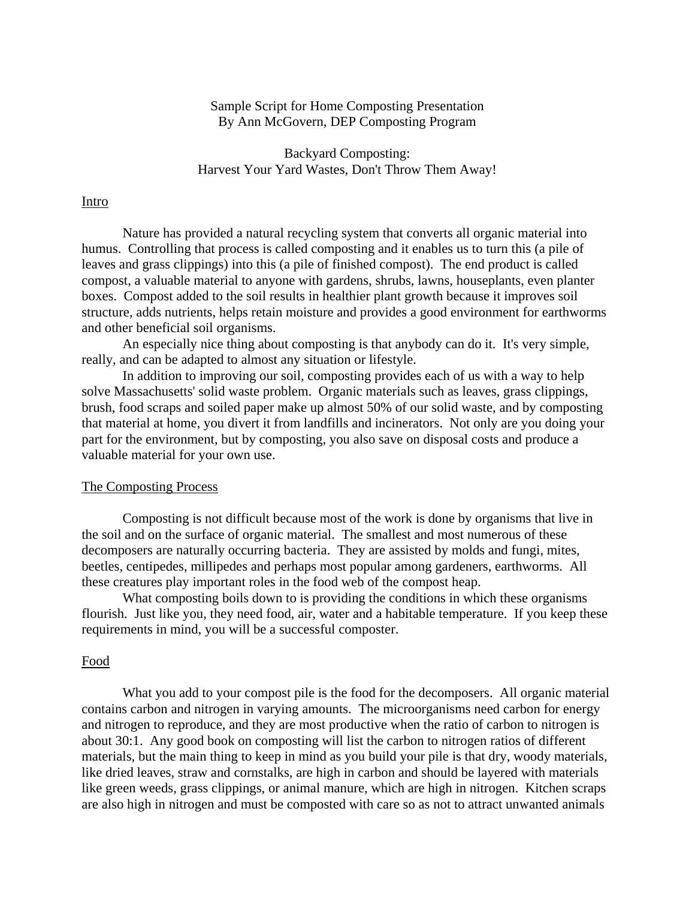### Sample Script for Home Composting Presentation By Ann McGovern, DEP Composting Program

 Backyard Composting: Harvest Your Yard Wastes, Don't Throw Them Away!

### Intro

 Nature has provided a natural recycling system that converts all organic material into humus. Controlling that process is called composting and it enables us to turn this (a pile of leaves and grass clippings) into this (a pile of finished compost). The end product is called compost, a valuable material to anyone with gardens, shrubs, lawns, houseplants, even planter boxes. Compost added to the soil results in healthier plant growth because it improves soil structure, adds nutrients, helps retain moisture and provides a good environment for earthworms and other beneficial soil organisms.

 An especially nice thing about composting is that anybody can do it. It's very simple, really, and can be adapted to almost any situation or lifestyle.

 In addition to improving our soil, composting provides each of us with a way to help solve Massachusetts' solid waste problem. Organic materials such as leaves, grass clippings, brush, food scraps and soiled paper make up almost 50% of our solid waste, and by composting that material at home, you divert it from landfills and incinerators. Not only are you doing your part for the environment, but by composting, you also save on disposal costs and produce a valuable material for your own use.

### The Composting Process

 Composting is not difficult because most of the work is done by organisms that live in the soil and on the surface of organic material. The smallest and most numerous of these decomposers are naturally occurring bacteria. They are assisted by molds and fungi, mites, beetles, centipedes, millipedes and perhaps most popular among gardeners, earthworms. All these creatures play important roles in the food web of the compost heap.

 What composting boils down to is providing the conditions in which these organisms flourish. Just like you, they need food, air, water and a habitable temperature. If you keep these requirements in mind, you will be a successful composter.

#### Food

 What you add to your compost pile is the food for the decomposers. All organic material contains carbon and nitrogen in varying amounts. The microorganisms need carbon for energy and nitrogen to reproduce, and they are most productive when the ratio of carbon to nitrogen is about 30:1. Any good book on composting will list the carbon to nitrogen ratios of different materials, but the main thing to keep in mind as you build your pile is that dry, woody materials, like dried leaves, straw and cornstalks, are high in carbon and should be layered with materials like green weeds, grass clippings, or animal manure, which are high in nitrogen. Kitchen scraps are also high in nitrogen and must be composted with care so as not to attract unwanted animals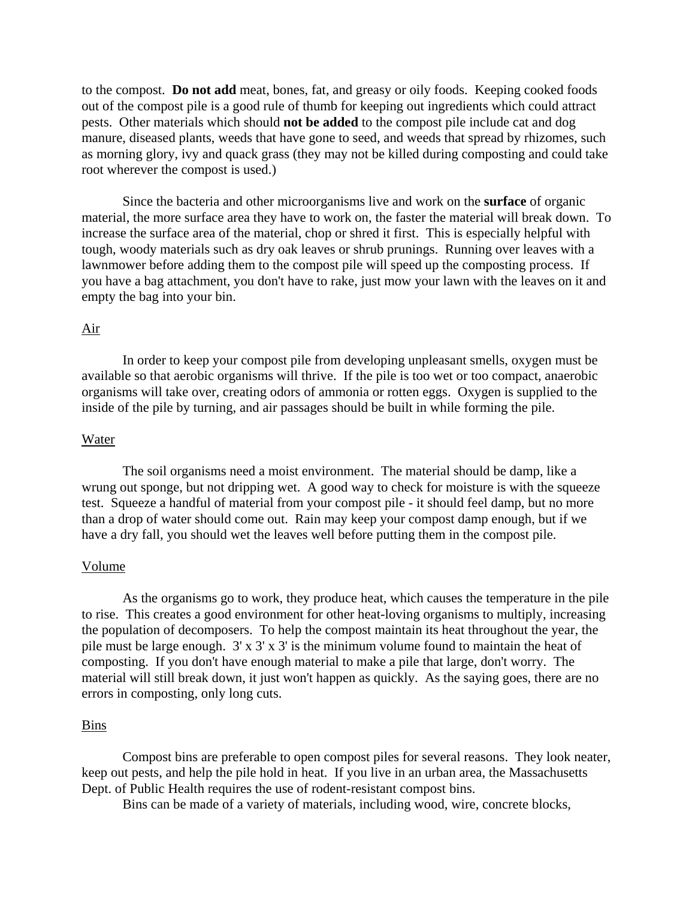to the compost. **Do not add** meat, bones, fat, and greasy or oily foods. Keeping cooked foods out of the compost pile is a good rule of thumb for keeping out ingredients which could attract pests. Other materials which should **not be added** to the compost pile include cat and dog manure, diseased plants, weeds that have gone to seed, and weeds that spread by rhizomes, such as morning glory, ivy and quack grass (they may not be killed during composting and could take root wherever the compost is used.)

 Since the bacteria and other microorganisms live and work on the **surface** of organic material, the more surface area they have to work on, the faster the material will break down. To increase the surface area of the material, chop or shred it first. This is especially helpful with tough, woody materials such as dry oak leaves or shrub prunings. Running over leaves with a lawnmower before adding them to the compost pile will speed up the composting process. If you have a bag attachment, you don't have to rake, just mow your lawn with the leaves on it and empty the bag into your bin.

### Air

 In order to keep your compost pile from developing unpleasant smells, oxygen must be available so that aerobic organisms will thrive. If the pile is too wet or too compact, anaerobic organisms will take over, creating odors of ammonia or rotten eggs. Oxygen is supplied to the inside of the pile by turning, and air passages should be built in while forming the pile.

#### Water

 The soil organisms need a moist environment. The material should be damp, like a wrung out sponge, but not dripping wet. A good way to check for moisture is with the squeeze test. Squeeze a handful of material from your compost pile - it should feel damp, but no more than a drop of water should come out. Rain may keep your compost damp enough, but if we have a dry fall, you should wet the leaves well before putting them in the compost pile.

#### Volume

 As the organisms go to work, they produce heat, which causes the temperature in the pile to rise. This creates a good environment for other heat-loving organisms to multiply, increasing the population of decomposers. To help the compost maintain its heat throughout the year, the pile must be large enough. 3' x 3' x 3' is the minimum volume found to maintain the heat of composting. If you don't have enough material to make a pile that large, don't worry. The material will still break down, it just won't happen as quickly. As the saying goes, there are no errors in composting, only long cuts.

#### Bins

 Compost bins are preferable to open compost piles for several reasons. They look neater, keep out pests, and help the pile hold in heat. If you live in an urban area, the Massachusetts Dept. of Public Health requires the use of rodent-resistant compost bins.

Bins can be made of a variety of materials, including wood, wire, concrete blocks,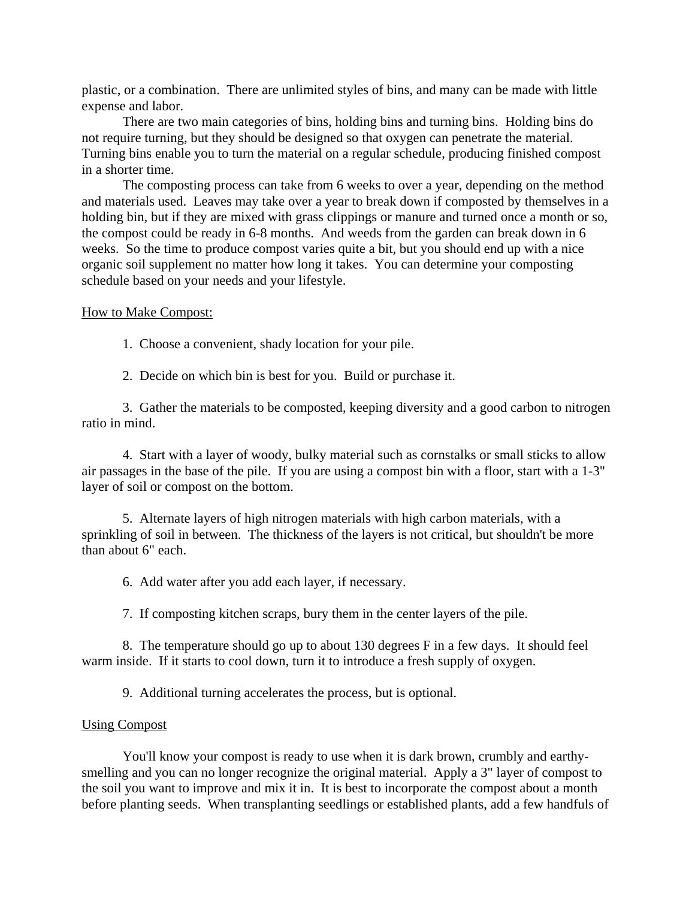plastic, or a combination. There are unlimited styles of bins, and many can be made with little expense and labor.

 There are two main categories of bins, holding bins and turning bins. Holding bins do not require turning, but they should be designed so that oxygen can penetrate the material. Turning bins enable you to turn the material on a regular schedule, producing finished compost in a shorter time.

 The composting process can take from 6 weeks to over a year, depending on the method and materials used. Leaves may take over a year to break down if composted by themselves in a holding bin, but if they are mixed with grass clippings or manure and turned once a month or so, the compost could be ready in 6-8 months. And weeds from the garden can break down in 6 weeks. So the time to produce compost varies quite a bit, but you should end up with a nice organic soil supplement no matter how long it takes. You can determine your composting schedule based on your needs and your lifestyle.

### How to Make Compost:

1. Choose a convenient, shady location for your pile.

2. Decide on which bin is best for you. Build or purchase it.

 3. Gather the materials to be composted, keeping diversity and a good carbon to nitrogen ratio in mind.

 4. Start with a layer of woody, bulky material such as cornstalks or small sticks to allow air passages in the base of the pile. If you are using a compost bin with a floor, start with a 1-3" layer of soil or compost on the bottom.

 5. Alternate layers of high nitrogen materials with high carbon materials, with a sprinkling of soil in between. The thickness of the layers is not critical, but shouldn't be more than about 6" each.

6. Add water after you add each layer, if necessary.

7. If composting kitchen scraps, bury them in the center layers of the pile.

 8. The temperature should go up to about 130 degrees F in a few days. It should feel warm inside. If it starts to cool down, turn it to introduce a fresh supply of oxygen.

9. Additional turning accelerates the process, but is optional.

### Using Compost

 You'll know your compost is ready to use when it is dark brown, crumbly and earthysmelling and you can no longer recognize the original material. Apply a 3" layer of compost to the soil you want to improve and mix it in. It is best to incorporate the compost about a month before planting seeds. When transplanting seedlings or established plants, add a few handfuls of